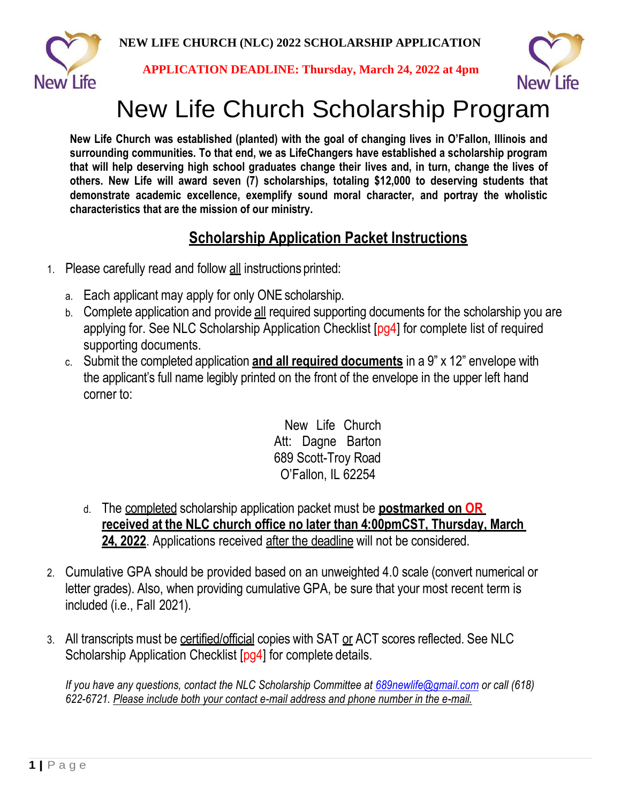

**APPLICATION DEADLINE: Thursday, March 24, 2022 at 4pm**



# New Life Church Scholarship Program

**New Life Church was established (planted) with the goal of changing lives in O'Fallon, Illinois and surrounding communities. To that end, we as LifeChangers have established a scholarship program that will help deserving high school graduates change their lives and, in turn, change the lives of others. New Life will award seven (7) scholarships, totaling \$12,000 to deserving students that demonstrate academic excellence, exemplify sound moral character, and portray the wholistic characteristics that are the mission of our ministry.**

# **Scholarship Application Packet Instructions**

- 1. Please carefully read and follow all instructions printed:
	- a. Each applicant may apply for only ONE scholarship.
	- b. Complete application and provide all required supporting documents for the scholarship you are applying for. See NLC Scholarship Application Checklist [pg4] for complete list of required supporting documents.
	- c. Submit the completed application **and all required documents** in a 9" x 12" envelope with the applicant's full name legibly printed on the front of the envelope in the upper left hand corner to:

New Life Church Att: Dagne Barton 689 Scott-Troy Road O'Fallon, IL 62254

- d. The completed scholarship application packet must be **postmarked on OR received at the NLC church office no later than 4:00pmCST, Thursday, March** 24, 2022. Applications received after the deadline will not be considered.
- 2. Cumulative GPA should be provided based on an unweighted 4.0 scale (convert numerical or letter grades). Also, when providing cumulative GPA, be sure that your most recent term is included (i.e., Fall 2021).
- 3. All transcripts must be certified/official copies with SAT or ACT scores reflected. See NLC Scholarship Application Checklist [pg4] for complete details.

*If you have any questions, contact the NLC Scholarship Committee at [689newlife@gmail.com](mailto:689newlife@gmail.com) or call (618) 622-6721. Please include both your contact e-mail address and phone number in the e-mail.*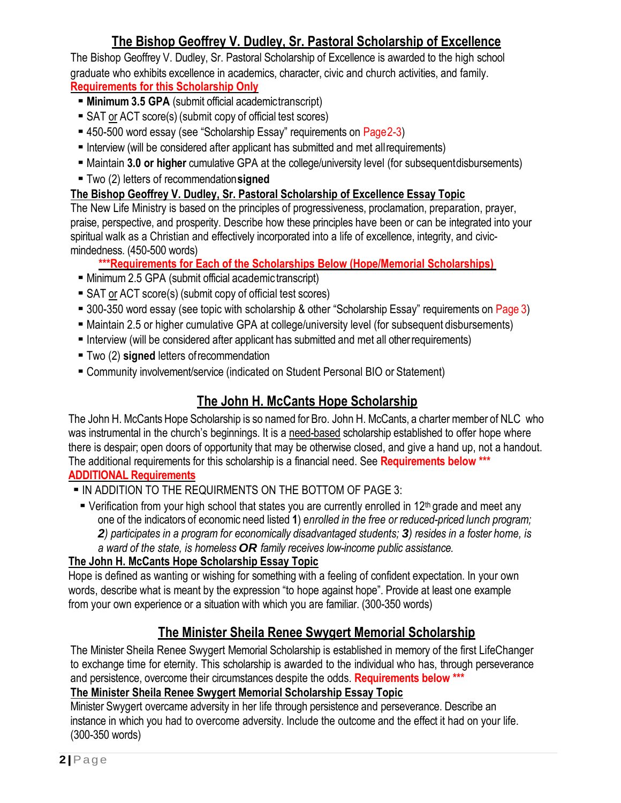## **The Bishop Geoffrey V. Dudley, Sr. Pastoral Scholarship of Excellence**

The Bishop Geoffrey V. Dudley, Sr. Pastoral Scholarship of Excellence is awarded to the high school graduate who exhibits excellence in academics, character, civic and church activities, and family. **Requirements for this Scholarship Only**

- **EXTERENGERY Minimum 3.5 GPA** (submit official academictranscript)
- **E** SAT or ACT score(s) (submit copy of official test scores)
- 450-500 word essay (see "Scholarship Essay" requirements on Page2-3)
- **E** Interview (will be considered after applicant has submitted and met all requirements)
- Maintain **3.0 or higher** cumulative GPA at the college/university level (for subsequentdisbursements)
- Two (2) letters of recommendation**signed**

#### **The Bishop Geoffrey V. Dudley, Sr. Pastoral Scholarship of Excellence Essay Topic**

The New Life Ministry is based on the principles of progressiveness, proclamation, preparation, prayer, praise, perspective, and prosperity. Describe how these principles have been or can be integrated into your spiritual walk as a Christian and effectively incorporated into a life of excellence, integrity, and civicmindedness. (450-500 words)

- **\*\*\*Requirements for Each of the Scholarships Below (Hope/Memorial Scholarships)**
- Minimum 2.5 GPA (submit official academic transcript)
- **E** SAT or ACT score(s) (submit copy of official test scores)
- 300-350 word essay (see topic with scholarship & other "Scholarship Essay" requirements on Page 3)
- Maintain 2.5 or higher cumulative GPA at college/university level (for subsequent disbursements)
- **EXTERN** Interview (will be considered after applicant has submitted and met all other requirements)
- Two (2) **signed** letters of recommendation
- Community involvement/service (indicated on Student Personal BIO or Statement)

## **The John H. McCants Hope Scholarship**

The John H. McCants Hope Scholarship is so named for Bro. John H. McCants, a charter member of NLC who was instrumental in the church's beginnings. It is a need-based scholarship established to offer hope where there is despair; open doors of opportunity that may be otherwise closed, and give a hand up, not a handout. The additional requirements for this scholarship is a financial need. See **Requirements below \*\*\* ADDITIONAL Requirements**

- ▪IN ADDITION TO THE REQUIRMENTS ON THE BOTTOM OF PAGE 3:
	- **•** Verification from your high school that states you are currently enrolled in 12<sup>th</sup> grade and meet any one of the indicators of economic need listed **1**) e*nrolled in the free or reduced-priced lunch program; 2) participates in a program for economically disadvantaged students; 3) resides in a foster home, is a ward of the state, is homeless OR family receives low-income public assistance.*

#### **The John H. McCants Hope Scholarship Essay Topic**

Hope is defined as wanting or wishing for something with a feeling of confident expectation. In your own words, describe what is meant by the expression "to hope against hope". Provide at least one example from your own experience or a situation with which you are familiar. (300-350 words)

## **The Minister Sheila Renee Swygert Memorial Scholarship**

The Minister Sheila Renee Swygert Memorial Scholarship is established in memory of the first LifeChanger to exchange time for eternity. This scholarship is awarded to the individual who has, through perseverance and persistence, overcome their circumstances despite the odds. **Requirements below \*\*\***

#### **The Minister Sheila Renee Swygert Memorial Scholarship Essay Topic**

Minister Swygert overcame adversity in her life through persistence and perseverance. Describe an instance in which you had to overcome adversity. Include the outcome and the effect it had on your life. (300-350 words)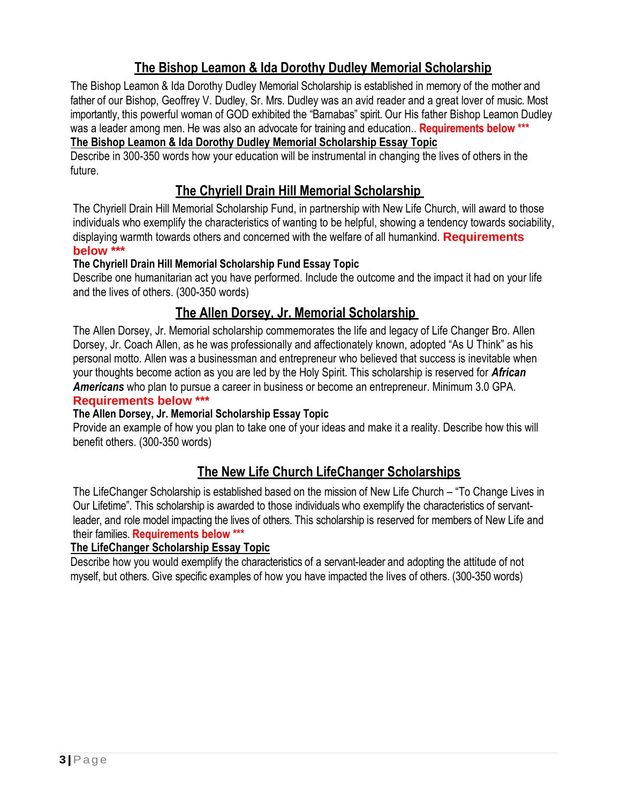## **The Bishop Leamon & Ida Dorothy Dudley Memorial Scholarship**

The Bishop Leamon & Ida Dorothy Dudley Memorial Scholarship is established in memory of the mother and father of our Bishop, Geoffrey V. Dudley, Sr. Mrs. Dudley was an avid reader and a great lover of music. Most importantly, this powerful woman of GOD exhibited the "Barnabas" spirit. Our His father Bishop Leamon Dudley was a leader among men. He was also an advocate for training and education.. **Requirements below \*\*\***

#### **The Bishop Leamon & Ida Dorothy Dudley Memorial Scholarship Essay Topic**

Describe in 300-350 words how your education will be instrumental in changing the lives of others in the future.

## **The Chyriell Drain Hill Memorial Scholarship**

The Chyriell Drain Hill Memorial Scholarship Fund, in partnership with New Life Church, will award to those individuals who exemplify the characteristics of wanting to be helpful, showing a tendency towards sociability, displaying warmth towards others and concerned with the welfare of all humankind. **Requirements below \*\*\***

#### **The Chyriell Drain Hill Memorial Scholarship Fund Essay Topic**

Describe one humanitarian act you have performed. Include the outcome and the impact it had on your life and the lives of others. (300-350 words)

## **The Allen Dorsey, Jr. Memorial Scholarship**

The Allen Dorsey, Jr. Memorial scholarship commemorates the life and legacy of Life Changer Bro. Allen Dorsey, Jr. Coach Allen, as he was professionally and affectionately known, adopted "As U Think" as his personal motto. Allen was a businessman and entrepreneur who believed that success is inevitable when your thoughts become action as you are led by the Holy Spirit. This scholarship is reserved for *African Americans* who plan to pursue a career in business or become an entrepreneur. Minimum 3.0 GPA.

#### **Requirements below \*\*\***

#### **The Allen Dorsey, Jr. Memorial Scholarship Essay Topic**

Provide an example of how you plan to take one of your ideas and make it a reality. Describe how this will benefit others. (300-350 words)

## **The New Life Church LifeChanger Scholarships**

The LifeChanger Scholarship is established based on the mission of New Life Church – "To Change Lives in Our Lifetime". This scholarship is awarded to those individuals who exemplify the characteristics of servantleader, and role model impacting the lives of others. This scholarship is reserved for members of New Life and their families. **Requirements below \*\*\***

#### **The LifeChanger Scholarship Essay Topic**

Describe how you would exemplify the characteristics of a servant-leader and adopting the attitude of not myself, but others. Give specific examples of how you have impacted the lives of others. (300-350 words)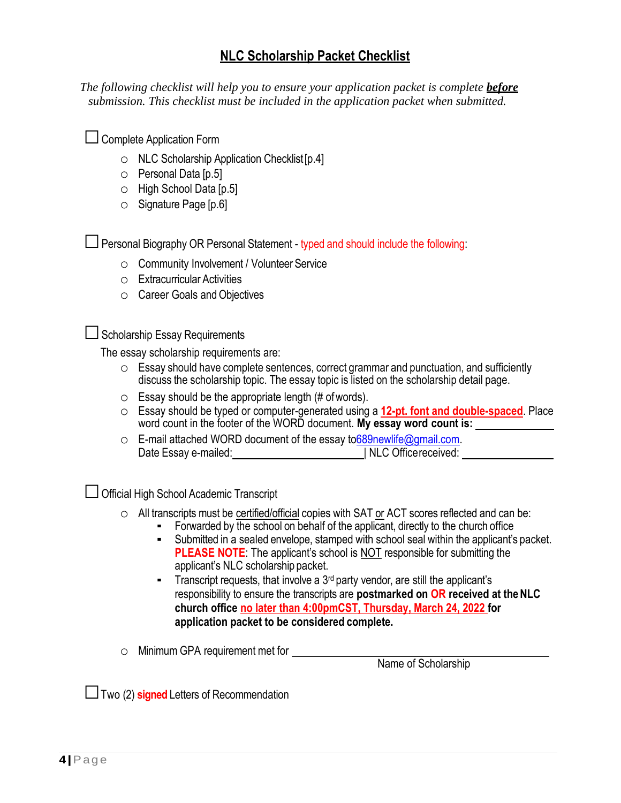## **NLC Scholarship Packet Checklist**

*The following checklist will help you to ensure your application packet is complete before submission. This checklist must be included in the application packet when submitted.*

| $\Box$ Complete Application Form |  |
|----------------------------------|--|

- o NLC Scholarship Application Checklist[p.4]
- o Personal Data [p.5]
- o High School Data [p.5]
- $\circ$  Signature Page [p. 6]

 $\Box$  Personal Biography OR Personal Statement - typed and should include the following:

- o Community Involvement / Volunteer Service
- o Extracurricular Activities
- o Career Goals andObjectives

 $\Box$  Scholarship Essay Requirements

The essay scholarship requirements are:

- o Essay should have complete sentences, correct grammar and punctuation, and sufficiently discuss the scholarship topic. The essay topic is listed on the scholarship detail page.
- $\circ$  Essay should be the appropriate length (# of words).
- o Essay should be typed or computer-generated using a **12-pt. font and double-spaced**. Place word count in the footer of the WORD document. **My essay word count is:**
- o E-mail attached WORD document of the essay to 689newlife@gmail.com. Date Essay e-mailed:  $|$  NLC Office received:

□ Official High School Academic Transcript

- o All transcripts must be certified/official copies with SAT or ACT scores reflected and can be:
	- Forwarded by the school on behalf of the applicant, directly to the church office
	- Submitted in a sealed envelope, stamped with school seal within the applicant's packet. **PLEASE NOTE:** The applicant's school is NOT responsible for submitting the applicant's NLC scholarship packet.
	- **Transcript requests, that involve a 3<sup>rd</sup> party vendor, are still the applicant's** responsibility to ensure the transcripts are **postmarked on OR received at theNLC church office no later than 4:00pmCST, Thursday, March 24, 2022 for application packet to be considered complete.**

o Minimum GPA requirement met for

Name of Scholarship

□Two (2) **signed** Letters of Recommendation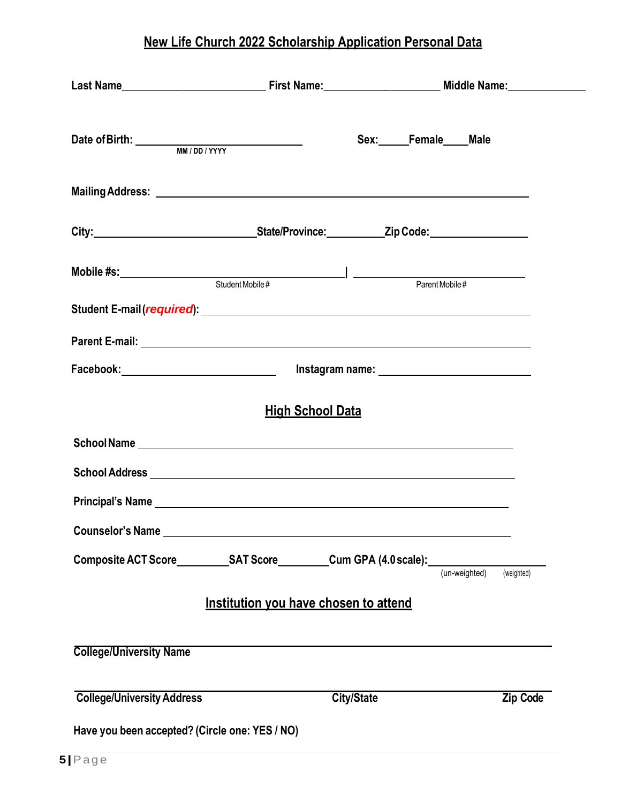# **New Life Church 2022 Scholarship Application Personal Data**

|                                                |                                                                                                                                                                                                                                      | Sex: Female ___ Male                                                                               |                 |
|------------------------------------------------|--------------------------------------------------------------------------------------------------------------------------------------------------------------------------------------------------------------------------------------|----------------------------------------------------------------------------------------------------|-----------------|
|                                                |                                                                                                                                                                                                                                      |                                                                                                    |                 |
|                                                |                                                                                                                                                                                                                                      |                                                                                                    |                 |
|                                                |                                                                                                                                                                                                                                      |                                                                                                    |                 |
|                                                |                                                                                                                                                                                                                                      |                                                                                                    |                 |
|                                                |                                                                                                                                                                                                                                      |                                                                                                    |                 |
|                                                |                                                                                                                                                                                                                                      | Facebook:__________________________________  lnstagram name: ____________________                  |                 |
|                                                | <b>High School Data</b>                                                                                                                                                                                                              |                                                                                                    |                 |
|                                                |                                                                                                                                                                                                                                      |                                                                                                    |                 |
|                                                |                                                                                                                                                                                                                                      |                                                                                                    |                 |
|                                                | Principal's Name <b>And Account Contract Contract Contract Contract Contract Contract Contract Contract Contract Contract Contract Contract Contract Contract Contract Contract Contract Contract Contract Contract Contract Con</b> |                                                                                                    |                 |
|                                                | Counselor's Name Lawrence and Counselor's Name                                                                                                                                                                                       |                                                                                                    |                 |
|                                                |                                                                                                                                                                                                                                      | Composite ACT Score____________SAT Score___________Cum GPA (4.0 scale):__________<br>(un-weighted) | (weighted)      |
|                                                | Institution you have chosen to attend                                                                                                                                                                                                |                                                                                                    |                 |
| <b>College/University Name</b>                 |                                                                                                                                                                                                                                      |                                                                                                    |                 |
| <b>College/University Address</b>              |                                                                                                                                                                                                                                      | <b>City/State</b>                                                                                  | <b>Zip Code</b> |
| Have you been accepted? (Circle one: YES / NO) |                                                                                                                                                                                                                                      |                                                                                                    |                 |